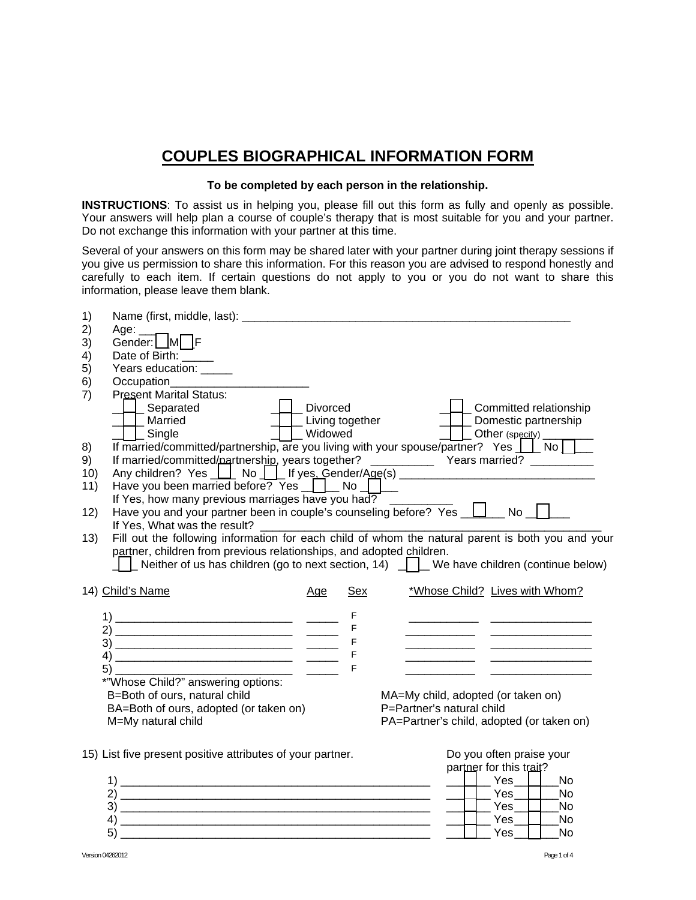# **COUPLES BIOGRAPHICAL INFORMATION FORM**

### To be completed by each person in the relationship.

INSTRUCTIONS: To assist us in helping you, please fill out this form as fully and openly as possible. Your answers will help plan a course of couple's therapy that is most suitable for you and your partner. Do not exchange this information with your partner at this time.

Several of your answers on this form may be shared later with your partner during joint therapy sessions if you give us permission to share this information. For this reason you are advised to respond honestly and carefully to each item. If certain questions do not apply to you or you do not want to share this information, please leave them blank.

| 1)  |                                                                                                                              |                 |             |                                                                 |                          |                          |  |
|-----|------------------------------------------------------------------------------------------------------------------------------|-----------------|-------------|-----------------------------------------------------------------|--------------------------|--------------------------|--|
| 2)  | Age:<br>Gender: M <sub>L</sub> F                                                                                             |                 |             |                                                                 |                          |                          |  |
| 3)  |                                                                                                                              |                 |             |                                                                 |                          |                          |  |
| 4)  | Date of Birth: _____                                                                                                         |                 |             |                                                                 |                          |                          |  |
| 5)  | Years education: _____                                                                                                       |                 |             |                                                                 |                          |                          |  |
| 6)  | Occupation___________                                                                                                        |                 |             |                                                                 |                          |                          |  |
| 7)  | <b>Present Marital Status:</b>                                                                                               |                 |             |                                                                 |                          |                          |  |
|     | _Separated                                                                                                                   | Divorced        |             |                                                                 |                          | _ Committed relationship |  |
|     | Married                                                                                                                      | Living together |             |                                                                 |                          | _ Domestic partnership   |  |
|     | U_Single                                                                                                                     | <b>Widowed</b>  |             | $\Box$ Other (specify) $\Box$                                   |                          |                          |  |
| 8)  | If married/committed/partnership, are you living with your spouse/partner? Yes [10] No                                       |                 |             |                                                                 |                          |                          |  |
| 9)  |                                                                                                                              |                 |             |                                                                 |                          |                          |  |
| 10) | Any children? Yes     No     If yes, Gender/Age(s) _____________________________                                             |                 |             |                                                                 |                          |                          |  |
| 11) | Have you been married before? Yes ______ No ____                                                                             |                 |             |                                                                 |                          |                          |  |
| 12) | If Yes, how many previous marriages have you had?<br>Have you and your partner been in couple's counseling before? Yes UU No |                 |             |                                                                 |                          |                          |  |
|     | If Yes, What was the result?                                                                                                 |                 |             |                                                                 |                          |                          |  |
| 13) | Fill out the following information for each child of whom the natural parent is both you and your                            |                 |             |                                                                 |                          |                          |  |
|     | partner, children from previous relationships, and adopted children.                                                         |                 |             |                                                                 |                          |                          |  |
|     | Neither of us has children (go to next section, 14) We have children (continue below)                                        |                 |             |                                                                 |                          |                          |  |
|     |                                                                                                                              |                 |             |                                                                 |                          |                          |  |
|     | 14) Child's Name                                                                                                             | Age             | <b>Sex</b>  | *Whose Child? Lives with Whom?                                  |                          |                          |  |
|     |                                                                                                                              |                 |             |                                                                 |                          |                          |  |
|     |                                                                                                                              |                 | F           |                                                                 |                          |                          |  |
|     |                                                                                                                              |                 | $\mathsf F$ |                                                                 |                          |                          |  |
|     |                                                                                                                              |                 | $\mathsf F$ |                                                                 |                          |                          |  |
|     |                                                                                                                              |                 | $\mathsf F$ |                                                                 |                          |                          |  |
|     | 5)                                                                                                                           |                 | $\mathsf F$ |                                                                 |                          |                          |  |
|     | *"Whose Child?" answering options:                                                                                           |                 |             |                                                                 |                          |                          |  |
|     | B=Both of ours, natural child<br>BA=Both of ours, adopted (or taken on)                                                      |                 |             | MA=My child, adopted (or taken on)<br>P=Partner's natural child |                          |                          |  |
|     | M=My natural child                                                                                                           |                 |             | PA=Partner's child, adopted (or taken on)                       |                          |                          |  |
|     |                                                                                                                              |                 |             |                                                                 |                          |                          |  |
|     |                                                                                                                              |                 |             |                                                                 |                          |                          |  |
|     | 15) List five present positive attributes of your partner.                                                                   |                 |             |                                                                 | Do you often praise your |                          |  |
|     |                                                                                                                              |                 |             |                                                                 | partner for this trait?  |                          |  |
|     |                                                                                                                              |                 |             |                                                                 | $\_$ Yes $\_$ $\_$       | <b>No</b>                |  |
|     |                                                                                                                              |                 |             |                                                                 | Yes                      | No                       |  |
|     |                                                                                                                              |                 |             |                                                                 | Yes                      | <b>No</b>                |  |
|     | 4)<br>5)                                                                                                                     |                 |             |                                                                 | $\Box$ Yes $\Box$<br>Yes | <b>No</b><br>No          |  |
|     |                                                                                                                              |                 |             |                                                                 |                          |                          |  |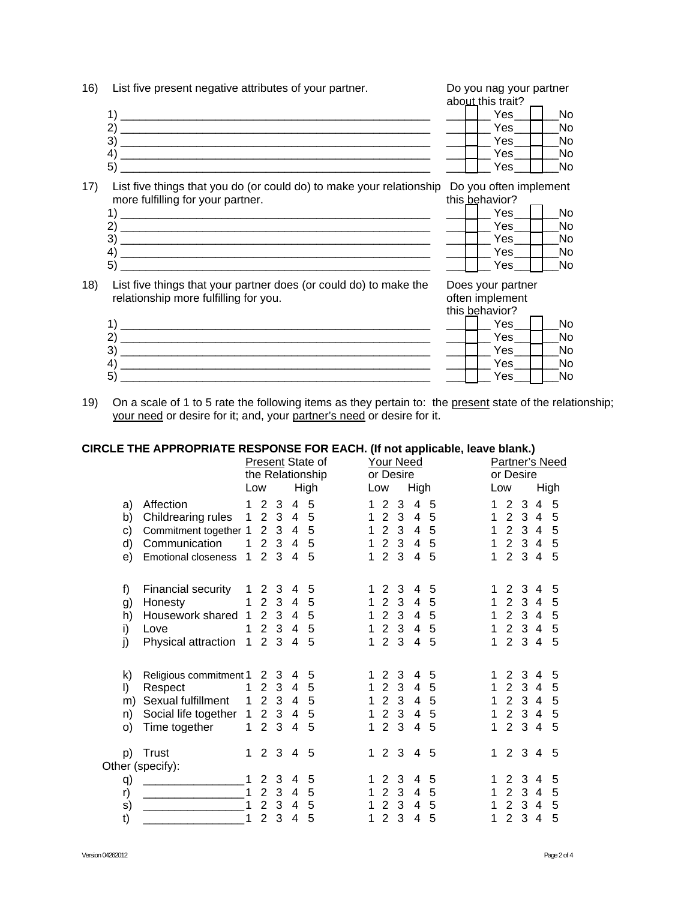| 16) | List five present negative attributes of your partner.                                      |  | Do you nag your partner<br>about this trait? |     |
|-----|---------------------------------------------------------------------------------------------|--|----------------------------------------------|-----|
|     |                                                                                             |  | Yes                                          | No. |
|     | $\mathbf{2}$                                                                                |  | Yes                                          | No. |
|     | 3)                                                                                          |  | Yes                                          | No. |
|     | 4)                                                                                          |  | Yes                                          | No. |
|     | 5)                                                                                          |  | Yes                                          | No. |
| 17) | List five things that you do (or could do) to make your relationship Do you often implement |  |                                              |     |
|     | more fulfilling for your partner.                                                           |  | this behavior?                               |     |
|     | $\rightarrow$                                                                               |  | Yes                                          | No. |

Yes \_No Yes **No Yes No** No Yes

Does your partner often implement

18) List five things that your partner does (or could do) to make the relationship more fulfilling for you.

|                      | this behavior? |
|----------------------|----------------|
| $\blacktriangleleft$ | Yes<br>No      |
| $\overline{2}$       | Yes<br>No      |
| 3                    | Yes<br>No      |
| $4^{\circ}$          | Yes<br>No      |
| 5 <sup>′</sup>       | Yes<br>No      |

On a scale of 1 to 5 rate the following items as they pertain to: the present state of the relationship;  $19)$ your need or desire for it; and, your partner's need or desire for it.

#### CIRCLE THE APPROPRIATE RESPONSE FOR EACH. (If not applicable, leave blank.)

|                            |                                                                                                    |                                                  |                                                                           |                                                        |                                                              | Present State of<br>the Relationship |                                            |                                                                         | Your Need<br>or Desire                                       |                                    |                       |                                 | or Desire                                                              |                               |                                            | <b>Partner's Need</b> |
|----------------------------|----------------------------------------------------------------------------------------------------|--------------------------------------------------|---------------------------------------------------------------------------|--------------------------------------------------------|--------------------------------------------------------------|--------------------------------------|--------------------------------------------|-------------------------------------------------------------------------|--------------------------------------------------------------|------------------------------------|-----------------------|---------------------------------|------------------------------------------------------------------------|-------------------------------|--------------------------------------------|-----------------------|
|                            |                                                                                                    | Low                                              |                                                                           |                                                        |                                                              | High                                 |                                            | Low                                                                     |                                                              | High                               |                       | Low                             |                                                                        |                               |                                            | High                  |
| a)<br>b)<br>c)<br>d)<br>e) | Affection<br>Childrearing rules<br>Commitment together 1<br>Communication<br>Emotional closeness   | 1<br>1<br>1<br>1                                 | $\overline{2}$<br>2<br>$\overline{2}$<br>$\overline{2}$<br>$\overline{2}$ | 3<br>$\mathbf{3}$<br>$\mathbf{3}$<br>3<br>3            | 4<br>$\overline{4}$<br>$\overline{4}$<br>4<br>$\overline{4}$ | 5<br>5<br>5<br>5<br>5                | 1<br>1<br>1<br>1<br>1                      | 2<br>$\overline{2}$<br>$2^{\circ}$<br>$2^{\circ}$<br>2 <sub>3</sub>     | 3<br>3<br>3<br>3                                             | 4<br>4<br>4<br>4<br>4              | 5<br>5<br>5<br>5<br>5 | 1<br>1<br>$\mathbf 1$<br>1<br>1 | 2<br>$\overline{2}$<br>$2^{\circ}$<br>$\overline{2}$<br>$2^{\circ}$    | 3<br>34<br>34<br>34<br>3      | 4<br>$\overline{4}$                        | 5<br>5<br>5<br>5<br>5 |
| f)<br>g)<br>h)<br>i)<br>j) | Financial security<br>Honesty<br>Housework shared 1<br>Love<br>Physical attraction                 | 1<br>1<br>1<br>$\mathbf{1}$                      | 2<br>$\overline{2}$<br>$\overline{2}$<br>2<br>$\overline{2}$              | 3<br>3<br>$\mathbf{3}$<br>3<br>$\mathbf{3}$            | 4<br>$\overline{4}$<br>$\overline{4}$<br>$\overline{4}$<br>4 | 5<br>5<br>5<br>5<br>5                | 1<br>1<br>1<br>1<br>1                      | $\overline{2}$<br>$\mathbf{2}$<br>$\overline{2}$<br>2<br>$\overline{2}$ | 3<br>3<br>3<br>3<br>3                                        | 4<br>4<br>4<br>4<br>4              | 5<br>5<br>5<br>5<br>5 | 1.<br>1<br>1<br>1<br>1          | $\overline{2}$<br>$2^{\circ}$<br>$\overline{2}$<br>2<br>2              | 3<br>34<br>3<br>34<br>3       | 4<br>$\overline{4}$<br>$\overline{4}$      | 5<br>5<br>5<br>5<br>5 |
| k)<br>I)<br>m)<br>n)<br>O) | Religious commitment 1<br>Respect<br>Sexual fulfillment<br>Social life together 1<br>Time together | $\mathbf 1$<br>$\mathbf{1}$<br>$\mathbf 1$       | 2<br>2<br>$\overline{2}$<br>$\overline{2}$<br>$\overline{2}$              | 3<br>3<br>$\mathbf{3}$<br>$\mathbf{3}$<br>$\mathbf{3}$ | 4<br>$\overline{4}$<br>4<br>4<br>$\overline{4}$              | 5<br>5<br>5<br>5<br>5                | 1<br>1<br>1<br>$\mathbf 1$<br>$\mathbf{1}$ | $\overline{2}$<br>2                                                     | 3<br>3<br>2 <sub>3</sub><br>2 <sub>3</sub><br>2 <sub>3</sub> | 4<br>4<br>4<br>4<br>$\overline{4}$ | 5<br>5<br>5<br>5<br>5 | 1.<br>1<br>1<br>1<br>1          | $\overline{2}$<br>2<br>$\overline{2}$<br>$2^{\circ}$<br>$\overline{2}$ | 3<br>3<br>34<br>34<br>34      | 4<br>4                                     | 5<br>5<br>5<br>5<br>5 |
| p)                         | Trust<br>Other (specify):                                                                          | $\mathbf{1}$                                     | 2                                                                         | 3                                                      | $\overline{4}$                                               | 5                                    | $\mathbf 1$                                | $\overline{2}$                                                          | 3                                                            | 4                                  | 5                     | 1.                              | $\overline{2}$                                                         | 3                             | $\overline{4}$                             | 5                     |
| q)<br>r)<br>s)<br>t)       |                                                                                                    | $\mathbf 1$<br>$\mathbf{1}$<br>$\mathbf{1}$<br>1 | 2<br>$\overline{2}$<br>$\overline{2}$<br>$\overline{2}$                   | 3<br>3<br>3<br>3                                       | 4<br>$\overline{4}$<br>4<br>$\overline{4}$                   | 5<br>5<br>5<br>5                     | 1<br>1<br>1<br>1                           | 2<br>$\overline{2}$<br>$\overline{2}$<br>$\overline{2}$                 | 3<br>3<br>3<br>3                                             | 4<br>4<br>4<br>4                   | 5<br>5<br>5<br>5      | 1<br>1<br>1                     | 2<br>$\overline{2}$<br>2<br>$\overline{2}$                             | 3<br>3 <sup>1</sup><br>3<br>3 | 4<br>$\overline{4}$<br>$\overline{4}$<br>4 | 5<br>5<br>5<br>5      |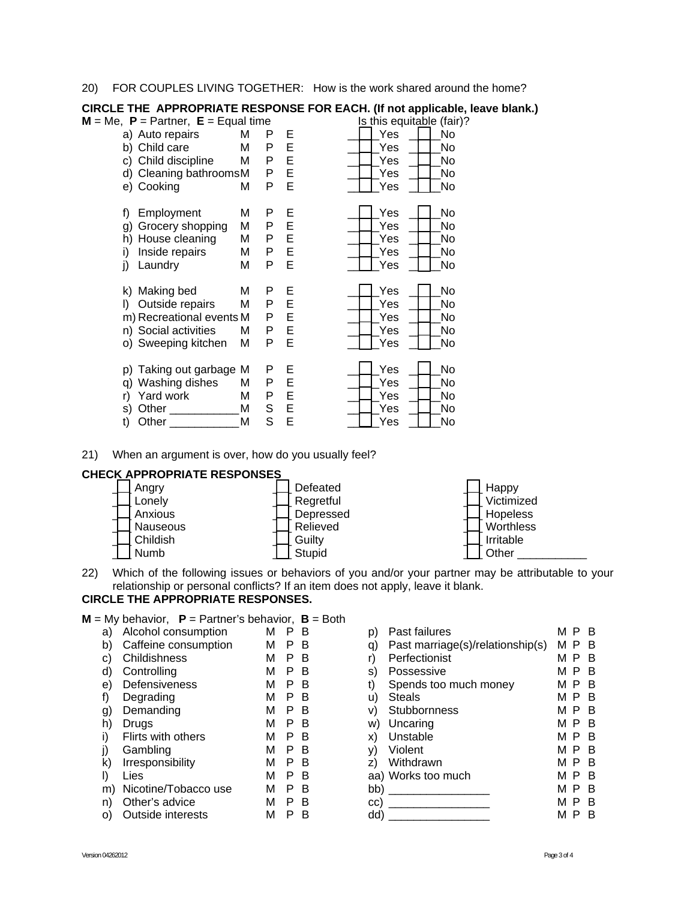20) FOR COUPLES LIVING TOGETHER: How is the work shared around the home?

|                                                                                                                   |                       |                       |                       | In not applicantly                                                   |
|-------------------------------------------------------------------------------------------------------------------|-----------------------|-----------------------|-----------------------|----------------------------------------------------------------------|
| $M = Me$ , $P =$ Partner, $E =$ Equal time                                                                        |                       |                       |                       | Is this equitable (fair)?                                            |
| a) Auto repairs                                                                                                   | M                     | P                     | E                     | Yes<br>No                                                            |
| b) Child care                                                                                                     | M                     | P                     | E                     | Yes<br>No.                                                           |
| c) Child discipline                                                                                               | M                     | Ρ                     | E                     | No<br>Yes                                                            |
| d) Cleaning bathroomsM                                                                                            |                       | Ρ                     | E                     | Yes<br>No                                                            |
| e) Cooking                                                                                                        | Μ                     | Ρ                     | E                     | Yes<br>No                                                            |
| Employment<br>f)<br>Grocery shopping<br>g)<br>House cleaning<br>h)<br>Inside repairs<br>i)                        | M<br>M<br>M<br>M      | P<br>P<br>P<br>P      | E<br>E<br>E<br>E      | Yes<br><b>No</b><br>Yes<br>No<br>Yes<br>No<br>Yes<br>No              |
| Laundry<br>j)                                                                                                     | M                     | P                     | E                     | Yes<br>No                                                            |
| k) Making bed<br>Outside repairs<br>I)<br>m) Recreational events M<br>n) Social activities<br>o) Sweeping kitchen | M<br>M<br>Μ<br>M      | P<br>Ρ<br>P<br>Ρ<br>P | E<br>E<br>E<br>E<br>E | Yes<br><b>No</b><br>Yes<br>No<br>Yes<br>No<br>Yes<br>No<br>Yes<br>No |
| Taking out garbage<br>p)<br>Washing dishes<br>q)<br>Yard work<br>r)<br>Other<br>s)<br>Other<br>t)                 | M<br>М<br>М<br>M<br>M | P<br>P<br>Ρ<br>S<br>S | Е<br>E<br>E<br>E<br>E | Yes<br>No<br>No<br>Yes<br>Yes<br>No<br>Yes<br>No<br>Yes<br>No        |

## CIRCLE THE APPROPRIATE RESPONSE FOR EACH. (If not applicable, leave blank.)

21) When an argument is over, how do you usually feel?

### CHECK APPROPRIATE RESPONSES



Which of the following issues or behaviors of you and/or your partner may be attributable to your  $(22)$ relationship or personal conflicts? If an item does not apply, leave it blank.

### **CIRCLE THE APPROPRIATE RESPONSES.**

 $M = My$  behavior,  $P =$  Partner's behavior,  $B =$  Both

| a) | Alcohol consumption  | М | в |  |
|----|----------------------|---|---|--|
| b) | Caffeine consumption | М | в |  |
| C) | Childishness         | М | в |  |
| d) | Controlling          | М | в |  |
| e) | Defensiveness        | М | в |  |
| f) | Degrading            | М | в |  |
| g) | Demanding            | М | в |  |
| h) | Drugs                | M | в |  |
| i) | Flirts with others   | М | в |  |
| j) | Gambling             | М | B |  |
| k) | Irresponsibility     | М | в |  |
| I) | Lies                 | М | в |  |
| m) | Nicotine/Tobacco use | М | в |  |
| n) | Other's advice       | М | в |  |
| O) | Outside interests    | м | R |  |

| p)  | Past failures                    | м<br>Р | в |
|-----|----------------------------------|--------|---|
| q)  | Past marriage(s)/relationship(s) | м<br>Р | в |
| r)  | Perfectionist                    | м<br>Р | в |
| s)  | Possessive                       | м<br>Р | в |
| t)  | Spends too much money            | м<br>Р | в |
| u)  | <b>Steals</b>                    | м<br>Р | в |
| V)  | Stubbornness                     | м<br>P | в |
| w)  | Uncaring                         | м<br>Р | в |
| X)  | Unstable                         | м<br>Р | в |
| y)  | Violent                          | м<br>Р | в |
| z)  | Withdrawn                        | м<br>Р | B |
|     | aa) Works too much               | м<br>Р | B |
| bb) |                                  | м<br>Р | в |
| CC) |                                  | м<br>Р | в |
| dd) |                                  | М      |   |